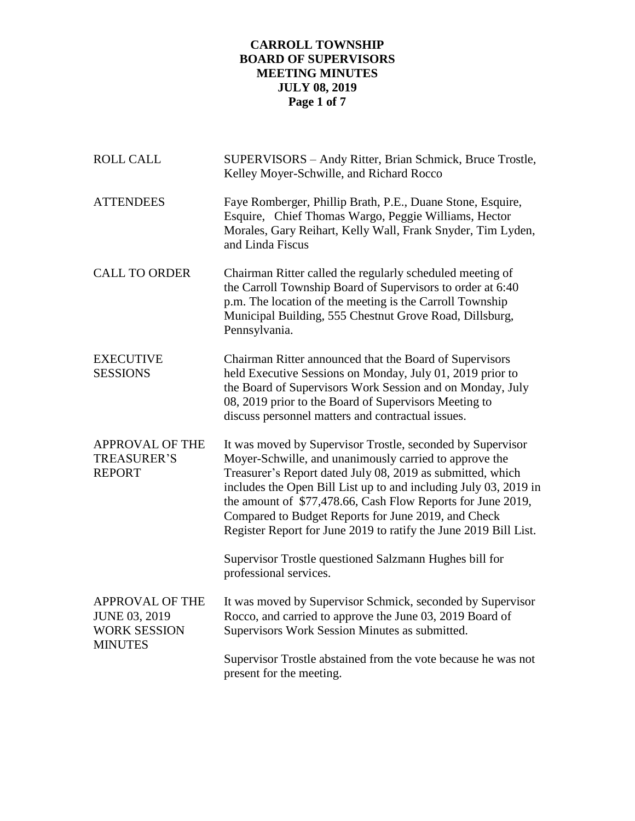# **CARROLL TOWNSHIP BOARD OF SUPERVISORS MEETING MINUTES JULY 08, 2019 Page 1 of 7**

| <b>ROLL CALL</b>                                                                        | SUPERVISORS - Andy Ritter, Brian Schmick, Bruce Trostle,<br>Kelley Moyer-Schwille, and Richard Rocco                                                                                                                                                                                                                                                                                                                                                                                                       |
|-----------------------------------------------------------------------------------------|------------------------------------------------------------------------------------------------------------------------------------------------------------------------------------------------------------------------------------------------------------------------------------------------------------------------------------------------------------------------------------------------------------------------------------------------------------------------------------------------------------|
| <b>ATTENDEES</b>                                                                        | Faye Romberger, Phillip Brath, P.E., Duane Stone, Esquire,<br>Esquire, Chief Thomas Wargo, Peggie Williams, Hector<br>Morales, Gary Reihart, Kelly Wall, Frank Snyder, Tim Lyden,<br>and Linda Fiscus                                                                                                                                                                                                                                                                                                      |
| <b>CALL TO ORDER</b>                                                                    | Chairman Ritter called the regularly scheduled meeting of<br>the Carroll Township Board of Supervisors to order at 6:40<br>p.m. The location of the meeting is the Carroll Township<br>Municipal Building, 555 Chestnut Grove Road, Dillsburg,<br>Pennsylvania.                                                                                                                                                                                                                                            |
| <b>EXECUTIVE</b><br><b>SESSIONS</b>                                                     | Chairman Ritter announced that the Board of Supervisors<br>held Executive Sessions on Monday, July 01, 2019 prior to<br>the Board of Supervisors Work Session and on Monday, July<br>08, 2019 prior to the Board of Supervisors Meeting to<br>discuss personnel matters and contractual issues.                                                                                                                                                                                                            |
| <b>APPROVAL OF THE</b><br><b>TREASURER'S</b><br><b>REPORT</b>                           | It was moved by Supervisor Trostle, seconded by Supervisor<br>Moyer-Schwille, and unanimously carried to approve the<br>Treasurer's Report dated July 08, 2019 as submitted, which<br>includes the Open Bill List up to and including July 03, 2019 in<br>the amount of \$77,478.66, Cash Flow Reports for June 2019,<br>Compared to Budget Reports for June 2019, and Check<br>Register Report for June 2019 to ratify the June 2019 Bill List.<br>Supervisor Trostle questioned Salzmann Hughes bill for |
|                                                                                         | professional services.                                                                                                                                                                                                                                                                                                                                                                                                                                                                                     |
| <b>APPROVAL OF THE</b><br><b>JUNE 03, 2019</b><br><b>WORK SESSION</b><br><b>MINUTES</b> | It was moved by Supervisor Schmick, seconded by Supervisor<br>Rocco, and carried to approve the June 03, 2019 Board of<br>Supervisors Work Session Minutes as submitted.                                                                                                                                                                                                                                                                                                                                   |
|                                                                                         | Supervisor Trostle abstained from the vote because he was not<br>present for the meeting.                                                                                                                                                                                                                                                                                                                                                                                                                  |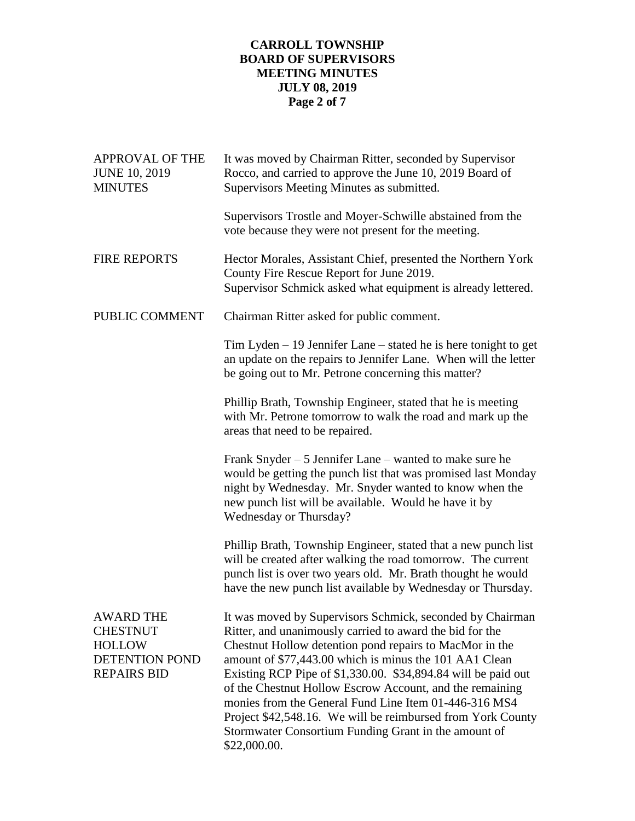# **CARROLL TOWNSHIP BOARD OF SUPERVISORS MEETING MINUTES JULY 08, 2019 Page 2 of 7**

| <b>APPROVAL OF THE</b><br><b>JUNE 10, 2019</b><br><b>MINUTES</b>                                    | It was moved by Chairman Ritter, seconded by Supervisor<br>Rocco, and carried to approve the June 10, 2019 Board of<br>Supervisors Meeting Minutes as submitted.                                                                                                                                                                                                                                                                                                                                                                                                        |
|-----------------------------------------------------------------------------------------------------|-------------------------------------------------------------------------------------------------------------------------------------------------------------------------------------------------------------------------------------------------------------------------------------------------------------------------------------------------------------------------------------------------------------------------------------------------------------------------------------------------------------------------------------------------------------------------|
|                                                                                                     | Supervisors Trostle and Moyer-Schwille abstained from the<br>vote because they were not present for the meeting.                                                                                                                                                                                                                                                                                                                                                                                                                                                        |
| <b>FIRE REPORTS</b>                                                                                 | Hector Morales, Assistant Chief, presented the Northern York<br>County Fire Rescue Report for June 2019.<br>Supervisor Schmick asked what equipment is already lettered.                                                                                                                                                                                                                                                                                                                                                                                                |
| PUBLIC COMMENT                                                                                      | Chairman Ritter asked for public comment.                                                                                                                                                                                                                                                                                                                                                                                                                                                                                                                               |
|                                                                                                     | Tim Lyden $-19$ Jennifer Lane $-$ stated he is here tonight to get<br>an update on the repairs to Jennifer Lane. When will the letter<br>be going out to Mr. Petrone concerning this matter?                                                                                                                                                                                                                                                                                                                                                                            |
|                                                                                                     | Phillip Brath, Township Engineer, stated that he is meeting<br>with Mr. Petrone tomorrow to walk the road and mark up the<br>areas that need to be repaired.                                                                                                                                                                                                                                                                                                                                                                                                            |
|                                                                                                     | Frank Snyder $-5$ Jennifer Lane $-$ wanted to make sure he<br>would be getting the punch list that was promised last Monday<br>night by Wednesday. Mr. Snyder wanted to know when the<br>new punch list will be available. Would he have it by<br>Wednesday or Thursday?                                                                                                                                                                                                                                                                                                |
|                                                                                                     | Phillip Brath, Township Engineer, stated that a new punch list<br>will be created after walking the road tomorrow. The current<br>punch list is over two years old. Mr. Brath thought he would<br>have the new punch list available by Wednesday or Thursday.                                                                                                                                                                                                                                                                                                           |
| <b>AWARD THE</b><br><b>CHESTNUT</b><br><b>HOLLOW</b><br><b>DETENTION POND</b><br><b>REPAIRS BID</b> | It was moved by Supervisors Schmick, seconded by Chairman<br>Ritter, and unanimously carried to award the bid for the<br>Chestnut Hollow detention pond repairs to MacMor in the<br>amount of \$77,443.00 which is minus the 101 AA1 Clean<br>Existing RCP Pipe of \$1,330.00. \$34,894.84 will be paid out<br>of the Chestnut Hollow Escrow Account, and the remaining<br>monies from the General Fund Line Item 01-446-316 MS4<br>Project \$42,548.16. We will be reimbursed from York County<br>Stormwater Consortium Funding Grant in the amount of<br>\$22,000.00. |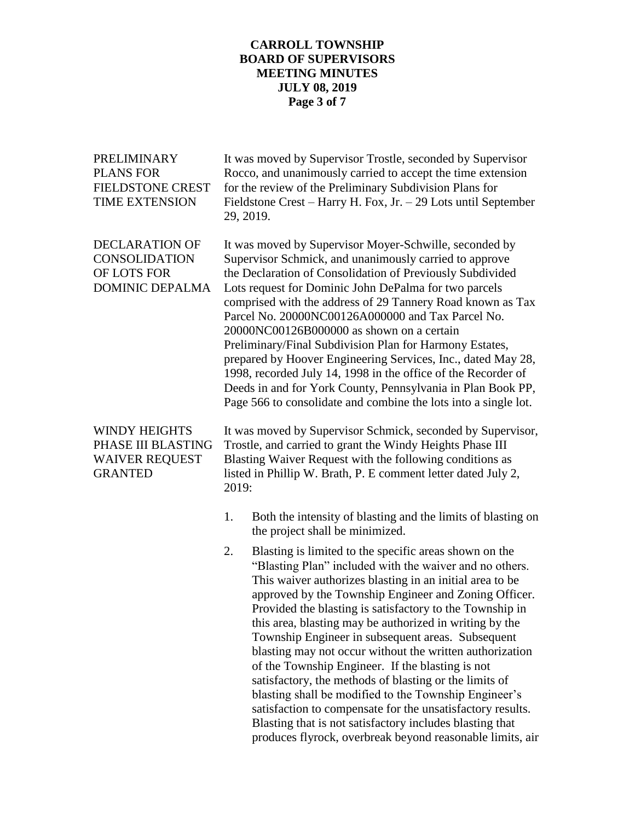## **CARROLL TOWNSHIP BOARD OF SUPERVISORS MEETING MINUTES JULY 08, 2019 Page 3 of 7**

| PRELIMINARY<br><b>PLANS FOR</b><br><b>FIELDSTONE CREST</b><br><b>TIME EXTENSION</b>   | It was moved by Supervisor Trostle, seconded by Supervisor<br>Rocco, and unanimously carried to accept the time extension<br>for the review of the Preliminary Subdivision Plans for<br>Fieldstone Crest – Harry H. Fox, Jr. – 29 Lots until September<br>29, 2019.                                                                                                                                                                                                                                                                                                                                                                                                                                                                                                                                                                                |
|---------------------------------------------------------------------------------------|----------------------------------------------------------------------------------------------------------------------------------------------------------------------------------------------------------------------------------------------------------------------------------------------------------------------------------------------------------------------------------------------------------------------------------------------------------------------------------------------------------------------------------------------------------------------------------------------------------------------------------------------------------------------------------------------------------------------------------------------------------------------------------------------------------------------------------------------------|
| <b>DECLARATION OF</b><br>CONSOLIDATION<br>OF LOTS FOR<br><b>DOMINIC DEPALMA</b>       | It was moved by Supervisor Moyer-Schwille, seconded by<br>Supervisor Schmick, and unanimously carried to approve<br>the Declaration of Consolidation of Previously Subdivided<br>Lots request for Dominic John DePalma for two parcels<br>comprised with the address of 29 Tannery Road known as Tax<br>Parcel No. 20000NC00126A000000 and Tax Parcel No.<br>20000NC00126B000000 as shown on a certain<br>Preliminary/Final Subdivision Plan for Harmony Estates,<br>prepared by Hoover Engineering Services, Inc., dated May 28,<br>1998, recorded July 14, 1998 in the office of the Recorder of<br>Deeds in and for York County, Pennsylvania in Plan Book PP,<br>Page 566 to consolidate and combine the lots into a single lot.                                                                                                               |
| <b>WINDY HEIGHTS</b><br>PHASE III BLASTING<br><b>WAIVER REQUEST</b><br><b>GRANTED</b> | It was moved by Supervisor Schmick, seconded by Supervisor,<br>Trostle, and carried to grant the Windy Heights Phase III<br>Blasting Waiver Request with the following conditions as<br>listed in Phillip W. Brath, P. E comment letter dated July 2,<br>2019:                                                                                                                                                                                                                                                                                                                                                                                                                                                                                                                                                                                     |
|                                                                                       | Both the intensity of blasting and the limits of blasting on<br>1.<br>the project shall be minimized.                                                                                                                                                                                                                                                                                                                                                                                                                                                                                                                                                                                                                                                                                                                                              |
|                                                                                       | Blasting is limited to the specific areas shown on the<br>2.<br>"Blasting Plan" included with the waiver and no others.<br>This waiver authorizes blasting in an initial area to be<br>approved by the Township Engineer and Zoning Officer.<br>Provided the blasting is satisfactory to the Township in<br>this area, blasting may be authorized in writing by the<br>Township Engineer in subsequent areas. Subsequent<br>blasting may not occur without the written authorization<br>of the Township Engineer. If the blasting is not<br>satisfactory, the methods of blasting or the limits of<br>blasting shall be modified to the Township Engineer's<br>satisfaction to compensate for the unsatisfactory results.<br>Blasting that is not satisfactory includes blasting that<br>produces flyrock, overbreak beyond reasonable limits, air |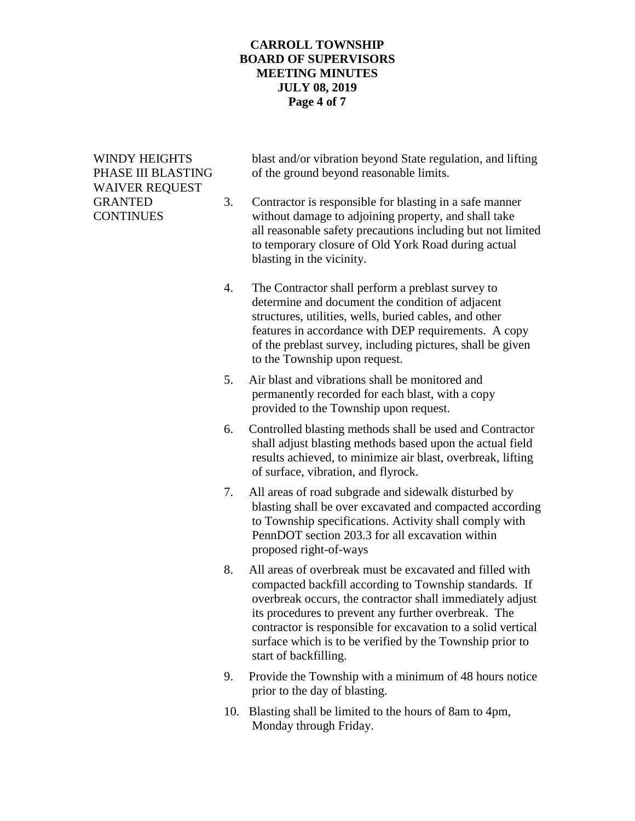### **CARROLL TOWNSHIP BOARD OF SUPERVISORS MEETING MINUTES JULY 08, 2019 Page 4 of 7**

# WAIVER REQUEST

WINDY HEIGHTS blast and/or vibration beyond State regulation, and lifting PHASE III BLASTING of the ground beyond reasonable limits.

- GRANTED 3. Contractor is responsible for blasting in a safe manner CONTINUES without damage to adjoining property, and shall take all reasonable safety precautions including but not limited to temporary closure of Old York Road during actual blasting in the vicinity.
	- 4. The Contractor shall perform a preblast survey to determine and document the condition of adjacent structures, utilities, wells, buried cables, and other features in accordance with DEP requirements. A copy of the preblast survey, including pictures, shall be given to the Township upon request.
	- 5. Air blast and vibrations shall be monitored and permanently recorded for each blast, with a copy provided to the Township upon request.
	- 6. Controlled blasting methods shall be used and Contractor shall adjust blasting methods based upon the actual field results achieved, to minimize air blast, overbreak, lifting of surface, vibration, and flyrock.
	- 7. All areas of road subgrade and sidewalk disturbed by blasting shall be over excavated and compacted according to Township specifications. Activity shall comply with PennDOT section 203.3 for all excavation within proposed right-of-ways
	- 8. All areas of overbreak must be excavated and filled with compacted backfill according to Township standards. If overbreak occurs, the contractor shall immediately adjust its procedures to prevent any further overbreak. The contractor is responsible for excavation to a solid vertical surface which is to be verified by the Township prior to start of backfilling.
	- 9. Provide the Township with a minimum of 48 hours notice prior to the day of blasting.
	- 10. Blasting shall be limited to the hours of 8am to 4pm, Monday through Friday.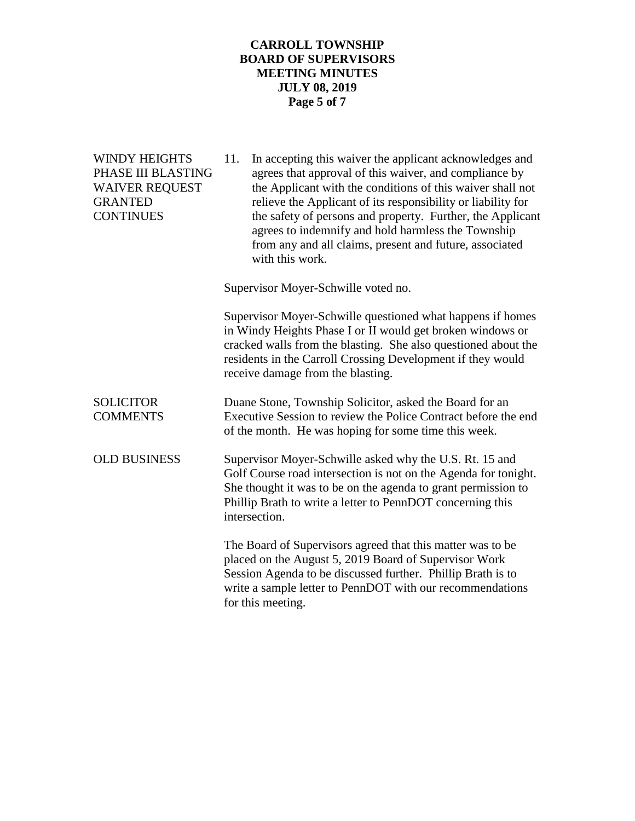## **CARROLL TOWNSHIP BOARD OF SUPERVISORS MEETING MINUTES JULY 08, 2019 Page 5 of 7**

| <b>WINDY HEIGHTS</b><br>PHASE III BLASTING<br><b>WAIVER REQUEST</b><br><b>GRANTED</b><br><b>CONTINUES</b> | 11.<br>In accepting this waiver the applicant acknowledges and<br>agrees that approval of this waiver, and compliance by<br>the Applicant with the conditions of this waiver shall not<br>relieve the Applicant of its responsibility or liability for<br>the safety of persons and property. Further, the Applicant<br>agrees to indemnify and hold harmless the Township<br>from any and all claims, present and future, associated<br>with this work. |
|-----------------------------------------------------------------------------------------------------------|----------------------------------------------------------------------------------------------------------------------------------------------------------------------------------------------------------------------------------------------------------------------------------------------------------------------------------------------------------------------------------------------------------------------------------------------------------|
|                                                                                                           | Supervisor Moyer-Schwille voted no.                                                                                                                                                                                                                                                                                                                                                                                                                      |
|                                                                                                           | Supervisor Moyer-Schwille questioned what happens if homes<br>in Windy Heights Phase I or II would get broken windows or<br>cracked walls from the blasting. She also questioned about the<br>residents in the Carroll Crossing Development if they would<br>receive damage from the blasting.                                                                                                                                                           |
| <b>SOLICITOR</b><br><b>COMMENTS</b>                                                                       | Duane Stone, Township Solicitor, asked the Board for an<br>Executive Session to review the Police Contract before the end<br>of the month. He was hoping for some time this week.                                                                                                                                                                                                                                                                        |
| <b>OLD BUSINESS</b>                                                                                       | Supervisor Moyer-Schwille asked why the U.S. Rt. 15 and<br>Golf Course road intersection is not on the Agenda for tonight.<br>She thought it was to be on the agenda to grant permission to<br>Phillip Brath to write a letter to PennDOT concerning this<br>intersection.                                                                                                                                                                               |
|                                                                                                           | The Board of Supervisors agreed that this matter was to be<br>placed on the August 5, 2019 Board of Supervisor Work<br>Session Agenda to be discussed further. Phillip Brath is to<br>write a sample letter to PennDOT with our recommendations<br>for this meeting.                                                                                                                                                                                     |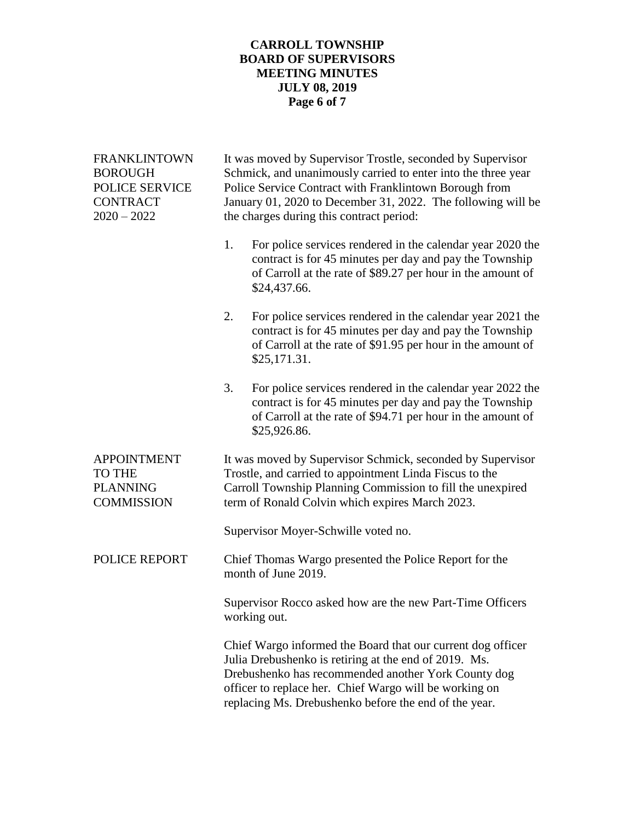## **CARROLL TOWNSHIP BOARD OF SUPERVISORS MEETING MINUTES JULY 08, 2019 Page 6 of 7**

| <b>FRANKLINTOWN</b><br><b>BOROUGH</b><br>POLICE SERVICE<br><b>CONTRACT</b><br>$2020 - 2022$ | It was moved by Supervisor Trostle, seconded by Supervisor<br>Schmick, and unanimously carried to enter into the three year<br>Police Service Contract with Franklintown Borough from<br>January 01, 2020 to December 31, 2022. The following will be<br>the charges during this contract period: |
|---------------------------------------------------------------------------------------------|---------------------------------------------------------------------------------------------------------------------------------------------------------------------------------------------------------------------------------------------------------------------------------------------------|
|                                                                                             | 1.<br>For police services rendered in the calendar year 2020 the<br>contract is for 45 minutes per day and pay the Township<br>of Carroll at the rate of \$89.27 per hour in the amount of<br>\$24,437.66.                                                                                        |
|                                                                                             | 2.<br>For police services rendered in the calendar year 2021 the<br>contract is for 45 minutes per day and pay the Township<br>of Carroll at the rate of \$91.95 per hour in the amount of<br>\$25,171.31.                                                                                        |
|                                                                                             | 3.<br>For police services rendered in the calendar year 2022 the<br>contract is for 45 minutes per day and pay the Township<br>of Carroll at the rate of \$94.71 per hour in the amount of<br>\$25,926.86.                                                                                        |
| <b>APPOINTMENT</b><br><b>TO THE</b><br><b>PLANNING</b><br><b>COMMISSION</b>                 | It was moved by Supervisor Schmick, seconded by Supervisor<br>Trostle, and carried to appointment Linda Fiscus to the<br>Carroll Township Planning Commission to fill the unexpired<br>term of Ronald Colvin which expires March 2023.                                                            |
|                                                                                             | Supervisor Moyer-Schwille voted no.                                                                                                                                                                                                                                                               |
| POLICE REPORT                                                                               | Chief Thomas Wargo presented the Police Report for the<br>month of June 2019.                                                                                                                                                                                                                     |
|                                                                                             | Supervisor Rocco asked how are the new Part-Time Officers<br>working out.                                                                                                                                                                                                                         |
|                                                                                             | Chief Wargo informed the Board that our current dog officer<br>Julia Drebushenko is retiring at the end of 2019. Ms.<br>Drebushenko has recommended another York County dog<br>officer to replace her. Chief Wargo will be working on<br>replacing Ms. Drebushenko before the end of the year.    |